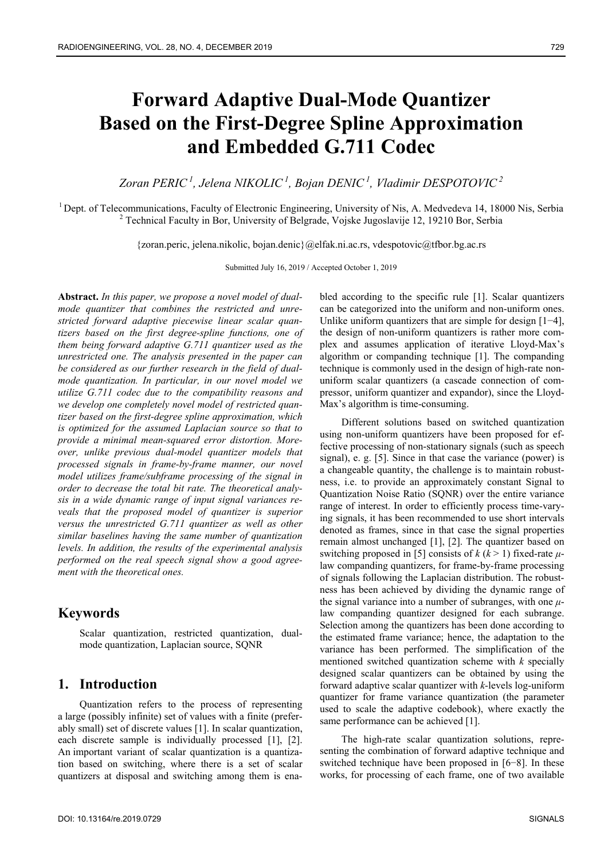# **Forward Adaptive Dual-Mode Quantizer Based on the First-Degree Spline Approximation and Embedded G.711 Codec**

*Zoran PERIC 1, Jelena NIKOLIC 1, Bojan DENIC 1, Vladimir DESPOTOVIC 2*

 $1$  Dept. of Telecommunications, Faculty of Electronic Engineering, University of Nis, A. Medvedeva 14, 18000 Nis, Serbia <sup>2</sup> Technical Faculty in Bor, University of Belgrade, Vojske Jugoslavije 12, 19210 Bor, Serbia

{zoran.peric, jelena.nikolic, bojan.denic}@elfak.ni.ac.rs, vdespotovic@tfbor.bg.ac.rs

Submitted July 16, 2019 / Accepted October 1, 2019

**Abstract.** *In this paper, we propose a novel model of dualmode quantizer that combines the restricted and unrestricted forward adaptive piecewise linear scalar quantizers based on the first degree-spline functions, one of them being forward adaptive G.711 quantizer used as the unrestricted one. The analysis presented in the paper can be considered as our further research in the field of dualmode quantization. In particular, in our novel model we utilize G.711 codec due to the compatibility reasons and we develop one completely novel model of restricted quantizer based on the first-degree spline approximation, which is optimized for the assumed Laplacian source so that to provide a minimal mean-squared error distortion. Moreover, unlike previous dual-model quantizer models that processed signals in frame-by-frame manner, our novel model utilizes frame/subframe processing of the signal in order to decrease the total bit rate. The theoretical analysis in a wide dynamic range of input signal variances reveals that the proposed model of quantizer is superior versus the unrestricted G.711 quantizer as well as other similar baselines having the same number of quantization levels. In addition, the results of the experimental analysis performed on the real speech signal show a good agreement with the theoretical ones.* 

# **Keywords**

Scalar quantization, restricted quantization, dualmode quantization, Laplacian source, SQNR

# **1. Introduction**

Quantization refers to the process of representing a large (possibly infinite) set of values with a finite (preferably small) set of discrete values [1]. In scalar quantization, each discrete sample is individually processed [1], [2]. An important variant of scalar quantization is a quantization based on switching, where there is a set of scalar quantizers at disposal and switching among them is enabled according to the specific rule [1]. Scalar quantizers can be categorized into the uniform and non-uniform ones. Unlike uniform quantizers that are simple for design [1−4], the design of non-uniform quantizers is rather more complex and assumes application of iterative Lloyd-Max's algorithm or companding technique [1]. The companding technique is commonly used in the design of high-rate nonuniform scalar quantizers (a cascade connection of compressor, uniform quantizer and expandor), since the Lloyd-Max's algorithm is time-consuming.

Different solutions based on switched quantization using non-uniform quantizers have been proposed for effective processing of non-stationary signals (such as speech signal), e. g. [5]. Since in that case the variance (power) is a changeable quantity, the challenge is to maintain robustness, i.e. to provide an approximately constant Signal to Quantization Noise Ratio (SQNR) over the entire variance range of interest. In order to efficiently process time-varying signals, it has been recommended to use short intervals denoted as frames, since in that case the signal properties remain almost unchanged [1], [2]. The quantizer based on switching proposed in [5] consists of  $k (k > 1)$  fixed-rate  $\mu$ law companding quantizers, for frame-by-frame processing of signals following the Laplacian distribution. The robustness has been achieved by dividing the dynamic range of the signal variance into a number of subranges, with one *μ*law companding quantizer designed for each subrange. Selection among the quantizers has been done according to the estimated frame variance; hence, the adaptation to the variance has been performed. The simplification of the mentioned switched quantization scheme with *k* specially designed scalar quantizers can be obtained by using the forward adaptive scalar quantizer with *k*-levels log-uniform quantizer for frame variance quantization (the parameter used to scale the adaptive codebook), where exactly the same performance can be achieved [1].

The high-rate scalar quantization solutions, representing the combination of forward adaptive technique and switched technique have been proposed in [6−8]. In these works, for processing of each frame, one of two available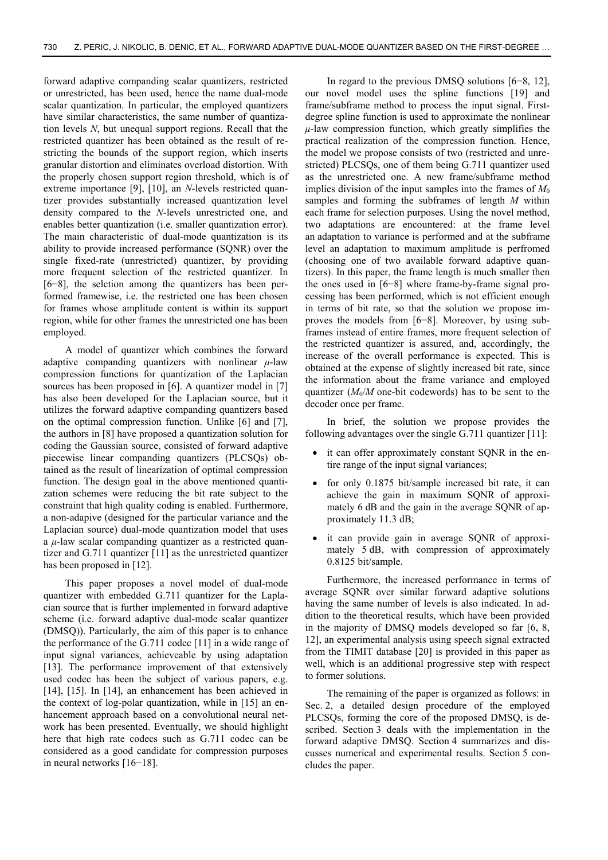forward adaptive companding scalar quantizers, restricted or unrestricted, has been used, hence the name dual-mode scalar quantization. In particular, the employed quantizers have similar characteristics, the same number of quantization levels *N*, but unequal support regions. Recall that the restricted quantizer has been obtained as the result of restricting the bounds of the support region, which inserts granular distortion and eliminates overload distortion. With the properly chosen support region threshold, which is of extreme importance [9], [10], an *N*-levels restricted quantizer provides substantially increased quantization level density compared to the *N*-levels unrestricted one, and enables better quantization (i.e. smaller quantization error). The main characteristic of dual-mode quantization is its ability to provide increased performance (SQNR) over the single fixed-rate (unrestricted) quantizer, by providing more frequent selection of the restricted quantizer. In [6−8], the selction among the quantizers has been performed framewise, i.e. the restricted one has been chosen for frames whose amplitude content is within its support region, while for other frames the unrestricted one has been employed.

A model of quantizer which combines the forward adaptive companding quantizers with nonlinear  $\mu$ -law compression functions for quantization of the Laplacian sources has been proposed in [6]. A quantizer model in [7] has also been developed for the Laplacian source, but it utilizes the forward adaptive companding quantizers based on the optimal compression function. Unlike [6] and [7], the authors in [8] have proposed a quantization solution for coding the Gaussian source, consisted of forward adaptive piecewise linear companding quantizers (PLCSQs) obtained as the result of linearization of optimal compression function. The design goal in the above mentioned quantization schemes were reducing the bit rate subject to the constraint that high quality coding is enabled. Furthermore, a non-adapive (designed for the particular variance and the Laplacian source) dual-mode quantization model that uses a *μ*-law scalar companding quantizer as a restricted quantizer and G.711 quantizer [11] as the unrestricted quantizer has been proposed in [12].

This paper proposes a novel model of dual-mode quantizer with embedded G.711 quantizer for the Laplacian source that is further implemented in forward adaptive scheme (i.e. forward adaptive dual-mode scalar quantizer (DMSQ)). Particularly, the aim of this paper is to enhance the performance of the G.711 codec [11] in a wide range of input signal variances, achieveable by using adaptation [13]. The performance improvement of that extensively used codec has been the subject of various papers, e.g. [14], [15]. In [14], an enhancement has been achieved in the context of log-polar quantization, while in [15] an enhancement approach based on a convolutional neural network has been presented. Eventually, we should highlight here that high rate codecs such as G.711 codec can be considered as a good candidate for compression purposes in neural networks [16−18].

In regard to the previous DMSQ solutions [6−8, 12], our novel model uses the spline functions [19] and frame/subframe method to process the input signal. Firstdegree spline function is used to approximate the nonlinear  $\mu$ -law compression function, which greatly simplifies the practical realization of the compression function. Hence, the model we propose consists of two (restricted and unrestricted) PLCSQs, one of them being G.711 quantizer used as the unrestricted one. A new frame/subframe method implies division of the input samples into the frames of  $M_0$ samples and forming the subframes of length *M* within each frame for selection purposes. Using the novel method, two adaptations are encountered: at the frame level an adaptation to variance is performed and at the subframe level an adaptation to maximum amplitude is perfromed (choosing one of two available forward adaptive quantizers). In this paper, the frame length is much smaller then the ones used in [6−8] where frame-by-frame signal processing has been performed, which is not efficient enough in terms of bit rate, so that the solution we propose improves the models from [6−8]. Moreover, by using subframes instead of entire frames, more frequent selection of the restricted quantizer is assured, and, accordingly, the increase of the overall performance is expected. This is obtained at the expense of slightly increased bit rate, since the information about the frame variance and employed quantizer  $(M_0/M)$  one-bit codewords) has to be sent to the decoder once per frame.

In brief, the solution we propose provides the following advantages over the single G.711 quantizer [11]:

- it can offer approximately constant SQNR in the entire range of the input signal variances;
- for only 0.1875 bit/sample increased bit rate, it can achieve the gain in maximum SQNR of approximately 6 dB and the gain in the average SQNR of approximately 11.3 dB;
- it can provide gain in average SQNR of approximately 5 dB, with compression of approximately 0.8125 bit/sample.

Furthermore, the increased performance in terms of average SQNR over similar forward adaptive solutions having the same number of levels is also indicated. In addition to the theoretical results, which have been provided in the majority of DMSQ models developed so far [6, 8, 12], an experimental analysis using speech signal extracted from the TIMIT database [20] is provided in this paper as well, which is an additional progressive step with respect to former solutions.

The remaining of the paper is organized as follows: in Sec. 2, a detailed design procedure of the employed PLCSQs, forming the core of the proposed DMSQ, is described. Section 3 deals with the implementation in the forward adaptive DMSQ. Section 4 summarizes and discusses numerical and experimental results. Section 5 concludes the paper.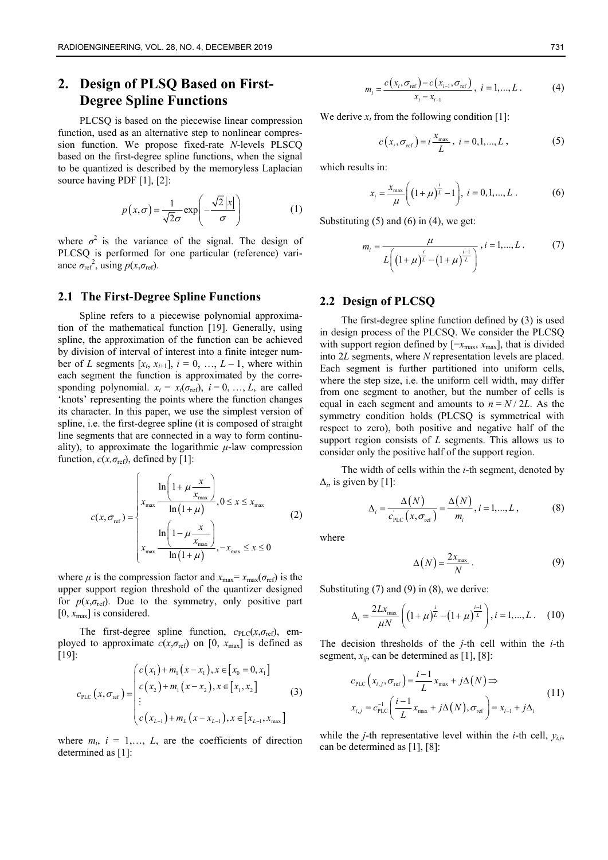# **2. Design of PLSQ Based on First-Degree Spline Functions**

PLCSQ is based on the piecewise linear compression function, used as an alternative step to nonlinear compression function. We propose fixed-rate *N*-levels PLSCQ based on the first-degree spline functions, when the signal to be quantized is described by the memoryless Laplacian source having PDF [1], [2]:

$$
p(x,\sigma) = \frac{1}{\sqrt{2}\sigma} \exp\left(-\frac{\sqrt{2}|x|}{\sigma}\right) \tag{1}
$$

where  $\sigma^2$  is the variance of the signal. The design of PLCSQ is performed for one particular (reference) variance  $\sigma_{\text{ref}}^2$ , using  $p(x, \sigma_{\text{ref}})$ .

#### **2.1 The First-Degree Spline Functions**

Spline refers to a piecewise polynomial approximation of the mathematical function [19]. Generally, using spline, the approximation of the function can be achieved by division of interval of interest into a finite integer number of *L* segments  $[x_i, x_{i+1}]$ ,  $i = 0, \ldots, L-1$ , where within each segment the function is approximated by the corresponding polynomial.  $x_i = x_i(\sigma_{\text{ref}}), i = 0, ..., L$ , are called 'knots' representing the points where the function changes its character. In this paper, we use the simplest version of spline, i.e. the first-degree spline (it is composed of straight line segments that are connected in a way to form continuality), to approximate the logarithmic  $\mu$ -law compression function,  $c(x, \sigma_{\text{ref}})$ , defined by [1]:

$$
c(x, \sigma_{\text{ref}}) = \begin{cases} \n\frac{\ln\left(1 + \mu \frac{x}{x_{\text{max}}}\right)}{\ln\left(1 + \mu\right)}, 0 \leq x \leq x_{\text{max}} \\
\frac{\ln\left(1 - \mu \frac{x}{x_{\text{max}}}\right)}{\ln\left(1 + \mu\right)}, -x_{\text{max}} \leq x \leq 0\n\end{cases}
$$
\n(2)

where  $\mu$  is the compression factor and  $x_{\text{max}} = x_{\text{max}}(\sigma_{\text{ref}})$  is the upper support region threshold of the quantizer designed for  $p(x, \sigma_{\text{ref}})$ . Due to the symmetry, only positive part  $[0, x_{\text{max}}]$  is considered.

The first-degree spline function,  $c_{\text{PLC}}(x, \sigma_{\text{ref}})$ , employed to approximate  $c(x, \sigma_{\text{ref}})$  on [0,  $x_{\text{max}}$ ] is defined as [19]:

$$
c_{\text{PLC}}(x, \sigma_{\text{ref}}) = \begin{pmatrix} c(x_1) + m_1(x - x_1), x \in [x_0 = 0, x_1] \\ c(x_2) + m_1(x - x_2), x \in [x_1, x_2] \\ \vdots \\ c(x_{L-1}) + m_L(x - x_{L-1}), x \in [x_{L-1}, x_{\text{max}}] \end{pmatrix}
$$
(3)

where  $m_i$ ,  $i = 1,..., L$ , are the coefficients of direction determined as [1]:

$$
m_{i} = \frac{c(x_{i}, \sigma_{\text{ref}}) - c(x_{i-1}, \sigma_{\text{ref}})}{x_{i} - x_{i-1}}, \quad i = 1, ..., L. \tag{4}
$$

We derive  $x_i$  from the following condition [1]:

$$
c(x_i, \sigma_{\text{ref}}) = i \frac{x_{\text{max}}}{L}, i = 0, 1, ..., L,
$$
 (5)

which results in:

$$
x_i = \frac{x_{\text{max}}}{\mu} \bigg( \big( 1 + \mu \big)^{\frac{i}{L}} - 1 \bigg), \ i = 0, 1, ..., L \ . \tag{6}
$$

Substituting  $(5)$  and  $(6)$  in  $(4)$ , we get:

$$
m_{i} = \frac{\mu}{L\left(\left(1+\mu\right)^{\frac{i}{L}} - \left(1+\mu\right)^{\frac{i-1}{L}}\right)}, i = 1,...,L. \tag{7}
$$

#### **2.2 Design of PLCSQ**

The first-degree spline function defined by (3) is used in design process of the PLCSQ. We consider the PLCSQ with support region defined by [−*x*<sub>max</sub>, *x*<sub>max</sub>], that is divided into 2*L* segments, where *N* representation levels are placed. Each segment is further partitioned into uniform cells, where the step size, i.e. the uniform cell width, may differ from one segment to another, but the number of cells is equal in each segment and amounts to  $n = N / 2L$ . As the symmetry condition holds (PLCSQ is symmetrical with respect to zero), both positive and negative half of the support region consists of *L* segments. This allows us to consider only the positive half of the support region.

The width of cells within the *i*-th segment, denoted by  $\Delta_i$ , is given by [1]:

$$
\Delta_i = \frac{\Delta(N)}{c_{\text{PLC}}(x, \sigma_{\text{ref}})} = \frac{\Delta(N)}{m_i}, i = 1, ..., L,
$$
 (8)

where

$$
\Delta(N) = \frac{2x_{\text{max}}}{N} \,. \tag{9}
$$

Substituting  $(7)$  and  $(9)$  in  $(8)$ , we derive:

$$
\Delta_{i} = \frac{2Lx_{\text{max}}}{\mu N} \left( \left(1 + \mu\right)^{\frac{i}{L}} - \left(1 + \mu\right)^{\frac{i-1}{L}} \right), i = 1, ..., L. \quad (10)
$$

The decision thresholds of the *j*-th cell within the *i*-th segment,  $x_{ii}$ , can be determined as [1], [8]:

$$
c_{\text{PLC}}(x_{i,j}, \sigma_{\text{ref}}) = \frac{i-1}{L} x_{\text{max}} + j\Delta(N) \Rightarrow
$$
  

$$
x_{i,j} = c_{\text{PLC}}^{-1} \left( \frac{i-1}{L} x_{\text{max}} + j\Delta(N), \sigma_{\text{ref}} \right) = x_{i-1} + j\Delta_i
$$
 (11)

while the *j*-th representative level within the *i*-th cell, *yi,j*, can be determined as [1], [8]: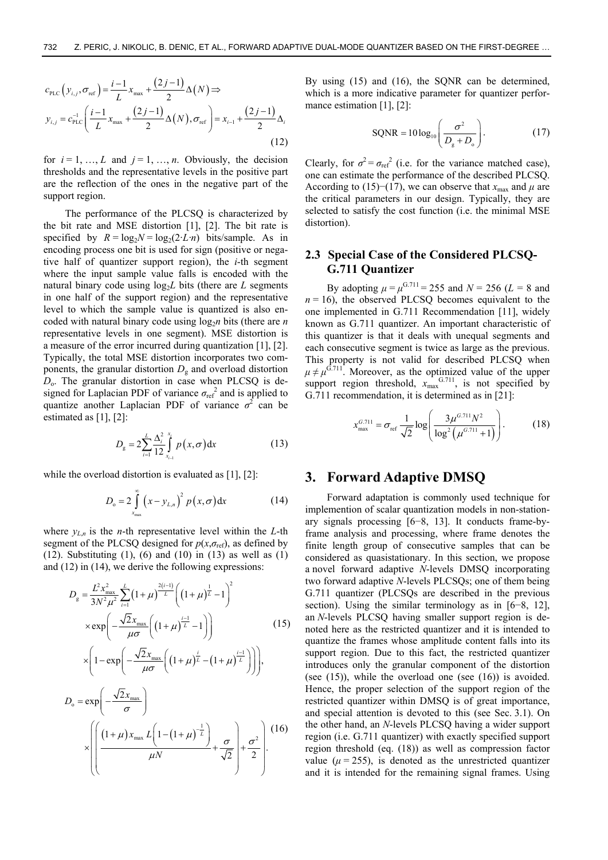$$
c_{\text{PLC}}(y_{i,j}, \sigma_{\text{ref}}) = \frac{i-1}{L} x_{\text{max}} + \frac{(2j-1)}{2} \Delta(N) \Rightarrow
$$
  

$$
y_{i,j} = c_{\text{PLC}}^{-1} \left( \frac{i-1}{L} x_{\text{max}} + \frac{(2j-1)}{2} \Delta(N), \sigma_{\text{ref}} \right) = x_{i-1} + \frac{(2j-1)}{2} \Delta_i
$$
(12)

for  $i = 1, ..., L$  and  $j = 1, ..., n$ . Obviously, the decision thresholds and the representative levels in the positive part are the reflection of the ones in the negative part of the support region.

The performance of the PLCSQ is characterized by the bit rate and MSE distortion [1], [2]. The bit rate is specified by  $R = log_2N = log_2(2 \cdot L \cdot n)$  bits/sample. As in encoding process one bit is used for sign (positive or negative half of quantizer support region), the *i*-th segment where the input sample value falls is encoded with the natural binary code using  $log<sub>2</sub>L$  bits (there are  $L$  segments in one half of the support region) and the representative level to which the sample value is quantized is also encoded with natural binary code using  $\log_2 n$  bits (there are *n* representative levels in one segment). MSE distortion is a measure of the error incurred during quantization [1], [2]. Typically, the total MSE distortion incorporates two components, the granular distortion  $D_{\rm g}$  and overload distortion *D*o. The granular distortion in case when PLCSQ is designed for Laplacian PDF of variance  $\sigma_{\text{ref}}^2$  and is applied to quantize another Laplacian PDF of variance  $\sigma^2$  can be estimated as [1], [2]:

$$
D_{g} = 2\sum_{i=1}^{L} \frac{\Delta_{i}^{2}}{12} \int_{x_{i-1}}^{x_{i}} p(x, \sigma) dx
$$
 (13)

while the overload distortion is evaluated as [1], [2]:

$$
D_{o} = 2\int_{x_{\text{max}}}^{\infty} \left(x - y_{L,n}\right)^{2} p\left(x, \sigma\right) dx \tag{14}
$$

where  $y_{L,n}$  is the *n*-th representative level within the *L*-th segment of the PLCSQ designed for  $p(x, \sigma_{ref})$ , as defined by (12). Substituting  $(1)$ ,  $(6)$  and  $(10)$  in  $(13)$  as well as  $(1)$ and (12) in (14), we derive the following expressions:

$$
D_{g} = \frac{L^{2}x_{\text{max}}^{2}}{3N^{2}\mu^{2}} \sum_{i=1}^{L} (1+\mu)^{\frac{2(i-1)}{L}} \left( (1+\mu)^{\frac{1}{L}} - 1 \right)^{2}
$$
  
\n
$$
\times \exp\left(-\frac{\sqrt{2}x_{\text{max}}}{\mu\sigma} \left( (1+\mu)^{\frac{i-1}{L}} - 1 \right) \right) \qquad (15)
$$
  
\n
$$
\times \left( 1 - \exp\left(-\frac{\sqrt{2}x_{\text{max}}}{\mu\sigma} \left( (1+\mu)^{\frac{i}{L}} - (1+\mu)^{\frac{i-1}{L}} \right) \right) \right),
$$
  
\n
$$
D_{o} = \exp\left(-\frac{\sqrt{2}x_{\text{max}}}{\sigma}\right)
$$
  
\n
$$
\times \left( \left( \frac{(1+\mu)x_{\text{max}}L\left(1-(1+\mu)^{-\frac{1}{L}}\right)}{\mu N} + \frac{\sigma}{\sqrt{2}} \right) + \frac{\sigma^{2}}{2} \right).
$$
 (16)

By using (15) and (16), the SQNR can be determined, which is a more indicative parameter for quantizer performance estimation [1], [2]:

$$
SQNR = 10 \log_{10} \left( \frac{\sigma^2}{D_g + D_o} \right). \tag{17}
$$

Clearly, for  $\sigma^2 = \sigma_{ref}^2$  (i.e. for the variance matched case), one can estimate the performance of the described PLCSQ. According to (15)–(17), we can observe that  $x_{\text{max}}$  and  $\mu$  are the critical parameters in our design. Typically, they are selected to satisfy the cost function (i.e. the minimal MSE distortion).

### **2.3 Special Case of the Considered PLCSQ-G.711 Quantizer**

By adopting  $\mu = \mu^{G.711} = 255$  and  $N = 256$  ( $L = 8$  and  $n = 16$ ), the observed PLCSQ becomes equivalent to the one implemented in G.711 Recommendation [11], widely known as G.711 quantizer. An important characteristic of this quantizer is that it deals with unequal segments and each consecutive segment is twice as large as the previous. This property is not valid for described PLCSQ when  $\mu \neq \mu^{G.711}$ . Moreover, as the optimized value of the upper support region threshold,  $x_{\text{max}}^{G.711}$ , is not specified by G.711 recommendation, it is determined as in [21]:

$$
x_{\max}^{G.711} = \sigma_{\text{ref}} \frac{1}{\sqrt{2}} \log \left( \frac{3\mu^{G.711} N^2}{\log^2 \left( \mu^{G.711} + 1 \right)} \right). \tag{18}
$$

#### **3. Forward Adaptive DMSQ**

Forward adaptation is commonly used technique for implemention of scalar quantization models in non-stationary signals processing [6−8, 13]. It conducts frame-byframe analysis and processing, where frame denotes the finite length group of consecutive samples that can be considered as quasistationary. In this section, we propose a novel forward adaptive *N*-levels DMSQ incorporating two forward adaptive *N*-levels PLCSQs; one of them being G.711 quantizer (PLCSQs are described in the previous section). Using the similar terminology as in [6–8, 12], an *N*-levels PLCSQ having smaller support region is denoted here as the restricted quantizer and it is intended to quantize the frames whose amplitude content falls into its support region. Due to this fact, the restricted quantizer introduces only the granular component of the distortion (see  $(15)$ ), while the overload one (see  $(16)$ ) is avoided. Hence, the proper selection of the support region of the restricted quantizer within DMSQ is of great importance, and special attention is devoted to this (see Sec. 3.1). On the other hand, an *N*-levels PLCSQ having a wider support region (i.e. G.711 quantizer) with exactly specified support region threshold (eq. (18)) as well as compression factor value  $(\mu = 255)$ , is denoted as the unrestricted quantizer and it is intended for the remaining signal frames. Using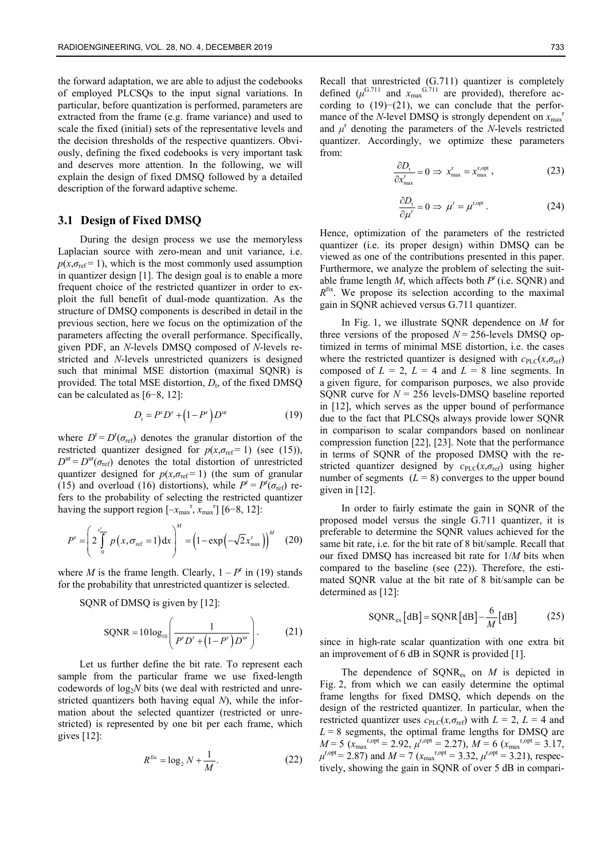the forward adaptation, we are able to adjust the codebooks of employed PLCSQs to the input signal variations. In particular, before quantization is performed, parameters are extracted from the frame (e.g. frame variance) and used to scale the fixed (initial) sets of the representative levels and the decision thresholds of the respective quantizers. Obviously, defining the fixed codebooks is very important task and deserves more attention. In the following, we will explain the design of fixed DMSQ followed by a detailed description of the forward adaptive scheme.

#### **3.1 Design of Fixed DMSQ**

During the design process we use the memoryless Laplacian source with zero-mean and unit variance, i.e.  $p(x, \sigma_{\text{ref}} = 1)$ , which is the most commonly used assumption in quantizer design [1]. The design goal is to enable a more frequent choice of the restricted quantizer in order to exploit the full benefit of dual-mode quantization. As the structure of DMSQ components is described in detail in the previous section, here we focus on the optimization of the parameters affecting the overall performance. Specifically, given PDF, an *N*-levels DMSQ composed of *N*-levels restricted and *N*-levels unrestricted quanizers is designed such that minimal MSE distortion (maximal SQNR) is provided. The total MSE distortion,  $D_t$ , of the fixed DMSQ can be calculated as [6−8, 12]:

$$
D_{t} = P^{r} D^{r} + (1 - P^{r}) D^{ur}
$$
 (19)

where  $D^r = D^r(\sigma_{ref})$  denotes the granular distortion of the restricted quantizer designed for  $p(x, \sigma_{ref} = 1)$  (see (15)),  $D^{\text{ur}} = D^{\text{ur}}(\sigma_{\text{ref}})$  denotes the total distortion of unrestricted quantizer designed for  $p(x, \sigma_{ref} = 1)$  (the sum of granular (15) and overload (16) distortions), while  $P^r = P^r(\sigma_{ref})$  refers to the probability of selecting the restricted quantizer having the support region  $[-x_{\text{max}}^{\text{r}}, x_{\text{max}}^{\text{r}}]$  [6–8, 12]:

$$
P^{\rm r} = \left(2\int\limits_{0}^{x_{\rm max}^{\rm r}} p\left(x,\sigma_{\rm ref}=1\right) \mathrm{d}x\right)^M = \left(1 - \exp\left(-\sqrt{2}x_{\rm max}^{\rm r}\right)\right)^M \quad (20)
$$

where *M* is the frame length. Clearly,  $1 - P^r$  in (19) stands for the probability that unrestricted quantizer is selected.

SQNR of DMSQ is given by [12]:

$$
SQNR = 10 \log_{10} \left( \frac{1}{P^r D^r + (1 - P^r) D^{ur}} \right). \tag{21}
$$

Let us further define the bit rate. To represent each sample from the particular frame we use fixed-length codewords of log<sub>2</sub>*N* bits (we deal with restricted and unrestricted quantizers both having equal *N*), while the information about the selected quantizer (restricted or unrestricted) is represented by one bit per each frame, which gives [12]:

$$
R^{\text{fix}} = \log_2 N + \frac{1}{M}.
$$
 (22)

Recall that unrestricted (G.711) quantizer is completely defined  $(\mu^{G.711}$  and  $x_{\text{max}}^{G.711}$  are provided), therefore according to (19)−(21), we can conclude that the performance of the *N*-level DMSQ is strongly dependent on  $x_{\text{max}}$ <sup>r</sup> and  $\mu^r$  denoting the parameters of the *N*-levels restricted quantizer. Accordingly, we optimize these parameters from:

$$
\frac{\partial D_t}{\partial x_{\text{max}}^r} = 0 \implies x_{\text{max}}^r = x_{\text{max}}^{r,\text{opt}},\tag{23}
$$

$$
\frac{\partial D_{\rm t}}{\partial \mu^{\rm r}} = 0 \Rightarrow \mu^{\rm r} = \mu^{\rm r,opt} \,. \tag{24}
$$

Hence, optimization of the parameters of the restricted quantizer (i.e. its proper design) within DMSQ can be viewed as one of the contributions presented in this paper. Furthermore, we analyze the problem of selecting the suitable frame length  $M$ , which affects both  $P^r$  (i.e. SQNR) and *R*fix. We propose its selection according to the maximal gain in SQNR achieved versus G.711 quantizer.

In Fig. 1, we illustrate SQNR dependence on *M* for three versions of the proposed  $N = 256$ -levels DMSQ optimized in terms of minimal MSE distortion, i.e. the cases where the restricted quantizer is designed with  $c_{PLC}(x, \sigma_{ref})$ composed of  $L = 2$ ,  $L = 4$  and  $L = 8$  line segments. In a given figure, for comparison purposes, we also provide SQNR curve for  $N = 256$  levels-DMSQ baseline reported in [12], which serves as the upper bound of performance due to the fact that PLCSQs always provide lower SQNR in comparison to scalar compandors based on nonlinear compression function [22], [23]. Note that the performance in terms of SQNR of the proposed DMSQ with the restricted quantizer designed by  $c_{PLC}(x, \sigma_{ref})$  using higher number of segments  $(L = 8)$  converges to the upper bound given in [12].

In order to fairly estimate the gain in SQNR of the proposed model versus the single G.711 quantizer, it is preferable to determine the SQNR values achieved for the same bit rate, i.e. for the bit rate of 8 bit/sample. Recall that our fixed DMSQ has increased bit rate for 1/*M* bits when compared to the baseline (see (22)). Therefore, the estimated SQNR value at the bit rate of 8 bit/sample can be determined as [12]:

$$
SQNR_{\text{es}}[dB] = SQNR[dB] - \frac{6}{M}[dB] \tag{25}
$$

since in high-rate scalar quantization with one extra bit an improvement of 6 dB in SQNR is provided [1].

The dependence of SQNRes on *M* is depicted in Fig. 2, from which we can easily determine the optimal frame lengths for fixed DMSQ, which depends on the design of the restricted quantizer. In particular, when the restricted quantizer uses  $c_{PLC}(x, \sigma_{ref})$  with  $L = 2$ ,  $L = 4$  and  $L = 8$  segments, the optimal frame lengths for DMSQ are  $M = 5$  ( $x_{\text{max}}^{r,\text{opt}} = 2.92$ ,  $\mu^{r,\text{opt}} = 2.27$ ),  $M = 6$  ( $x_{\text{max}}^{r,\text{opt}} = 3.17$ ,  $\mu^{\text{r}, \text{opt}} = 2.87$ ) and  $M = 7$  ( $x_{\text{max}}^{\text{r}, \text{opt}} = 3.32$ ,  $\mu^{\text{r}, \text{opt}} = 3.21$ ), respectively, showing the gain in SQNR of over 5 dB in compari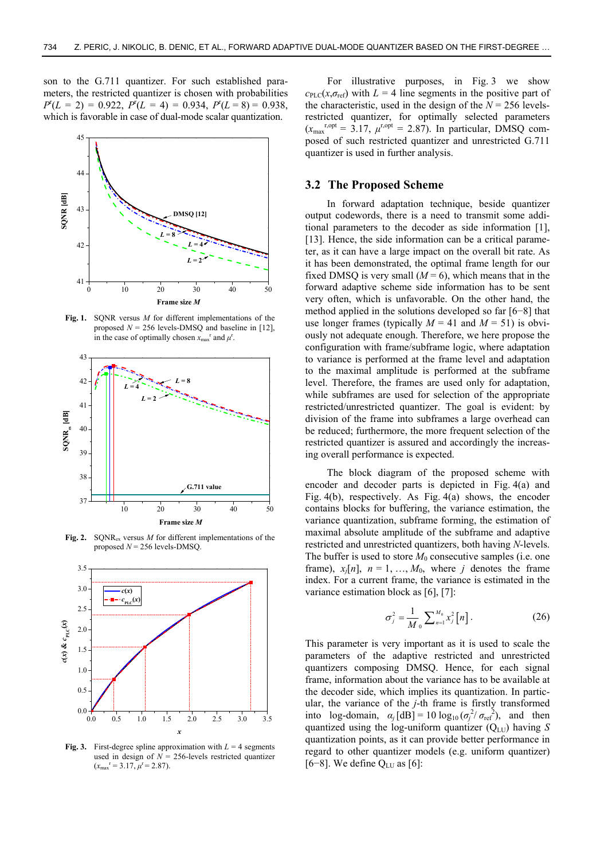son to the G.711 quantizer. For such established parameters, the restricted quantizer is chosen with probabilities  $P^{r}(L = 2) = 0.922$ ,  $P^{r}(L = 4) = 0.934$ ,  $P^{r}(L = 8) = 0.938$ , which is favorable in case of dual-mode scalar quantization.



**Fig. 1.** SQNR versus *M* for different implementations of the proposed  $N = 256$  levels-DMSQ and baseline in [12], in the case of optimally chosen  $x_{\text{max}}^r$  and  $\mu^r$ .



**Fig. 2.** SQNRex versus *M* for different implementations of the proposed *N* = 256 levels-DMSQ.



**Fig. 3.** First-degree spline approximation with  $L = 4$  segments used in design of  $N = 256$ -levels restricted quantizer  $(x_{\text{max}}^{\text{r}} = 3.17, \mu^{\text{r}} = 2.87).$ 

For illustrative purposes, in Fig. 3 we show  $c_{\text{PLC}}(x, \sigma_{\text{ref}})$  with  $L = 4$  line segments in the positive part of the characteristic, used in the design of the  $N = 256$  levelsrestricted quantizer, for optimally selected parameters  $(x_{\text{max}}^{r,\text{opt}} = 3.17, \mu^{r,\text{opt}} = 2.87)$ . In particular, DMSQ composed of such restricted quantizer and unrestricted G.711 quantizer is used in further analysis.

#### **3.2 The Proposed Scheme**

In forward adaptation technique, beside quantizer output codewords, there is a need to transmit some additional parameters to the decoder as side information [1], [13]. Hence, the side information can be a critical parameter, as it can have a large impact on the overall bit rate. As it has been demonstrated, the optimal frame length for our fixed DMSQ is very small  $(M = 6)$ , which means that in the forward adaptive scheme side information has to be sent very often, which is unfavorable. On the other hand, the method applied in the solutions developed so far [6−8] that use longer frames (typically  $M = 41$  and  $M = 51$ ) is obviously not adequate enough. Therefore, we here propose the configuration with frame/subframe logic, where adaptation to variance is performed at the frame level and adaptation to the maximal amplitude is performed at the subframe level. Therefore, the frames are used only for adaptation, while subframes are used for selection of the appropriate restricted/unrestricted quantizer. The goal is evident: by division of the frame into subframes a large overhead can be reduced; furthermore, the more frequent selection of the restricted quantizer is assured and accordingly the increasing overall performance is expected.

The block diagram of the proposed scheme with encoder and decoder parts is depicted in Fig. 4(a) and Fig. 4(b), respectively. As Fig. 4(a) shows, the encoder contains blocks for buffering, the variance estimation, the variance quantization, subframe forming, the estimation of maximal absolute amplitude of the subframe and adaptive restricted and unrestricted quantizers, both having *N*-levels. The buffer is used to store  $M_0$  consecutive samples (i.e. one frame),  $x_i[n]$ ,  $n = 1, ..., M_0$ , where *j* denotes the frame index. For a current frame, the variance is estimated in the variance estimation block as [6], [7]:

$$
\sigma_j^2 = \frac{1}{M_0} \sum_{n=1}^{M_0} x_j^2 [n]. \tag{26}
$$

This parameter is very important as it is used to scale the parameters of the adaptive restricted and unrestricted quantizers composing DMSQ. Hence, for each signal frame, information about the variance has to be available at the decoder side, which implies its quantization. In particular, the variance of the *j*-th frame is firstly transformed into  $\log$ -domain,  $\alpha_j [\text{dB}] = 10 \log_{10}(\sigma_j^2/\sigma_{\text{ref}}^2)$ , and then quantized using the log-uniform quantizer  $(Q_{LU})$  having *S* quantization points, as it can provide better performance in regard to other quantizer models (e.g. uniform quantizer) [6–8]. We define  $Q_{LU}$  as [6]: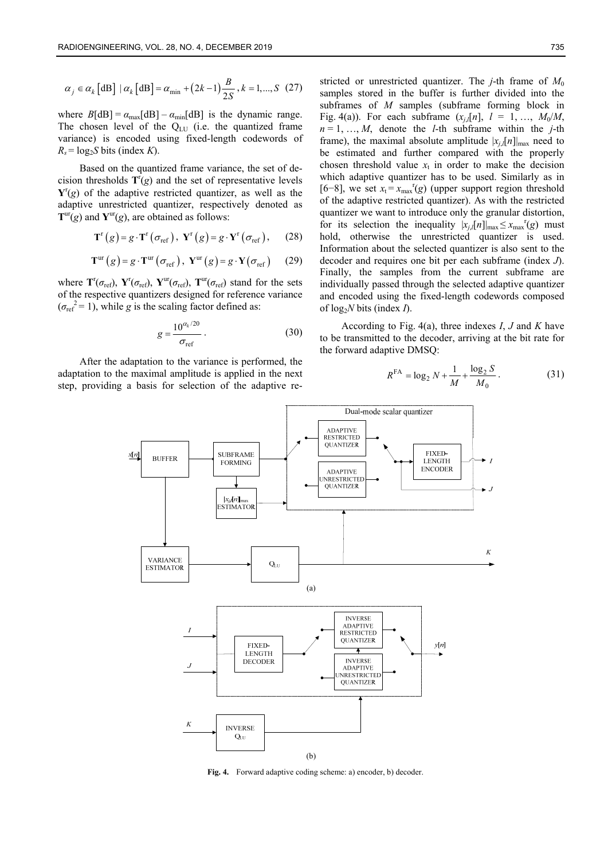$$
\alpha_j \in \alpha_k \left[ \text{dB} \right] \mid \alpha_k \left[ \text{dB} \right] = \alpha_{\min} + \left( 2k - 1 \right) \frac{B}{2S}, k = 1, ..., S \quad (27)
$$

where  $B[dB] = \alpha_{\text{max}}[dB] - \alpha_{\text{min}}[dB]$  is the dynamic range. The chosen level of the  $Q_{LU}$  (i.e. the quantized frame variance) is encoded using fixed-length codewords of  $R_s = \log_2 S$  bits (index *K*).

Based on the quantized frame variance, the set of decision thresholds  $T^r(g)$  and the set of representative levels  $Y^{r}(g)$  of the adaptive restricted quantizer, as well as the adaptive unrestricted quantizer, respectively denoted as  $T^{\text{ur}}(g)$  and  $Y^{\text{ur}}(g)$ , are obtained as follows:

$$
\mathbf{T}^{\mathrm{r}}(g) = g \cdot \mathbf{T}^{\mathrm{r}}(\sigma_{\mathrm{ref}}), \ \mathbf{Y}^{\mathrm{r}}(g) = g \cdot \mathbf{Y}^{\mathrm{r}}(\sigma_{\mathrm{ref}}), \qquad (28)
$$

$$
\mathbf{T}^{\text{ur}}(g) = g \cdot \mathbf{T}^{\text{ur}}(\sigma_{\text{ref}}), \ \mathbf{Y}^{\text{ur}}(g) = g \cdot \mathbf{Y}(\sigma_{\text{ref}}) \tag{29}
$$

where  $\mathbf{T}^{\text{r}}(\sigma_{\text{ref}})$ ,  $\mathbf{Y}^{\text{r}}(\sigma_{\text{ref}})$ ,  $\mathbf{T}^{\text{ur}}(\sigma_{\text{ref}})$  stand for the sets of the respective quantizers designed for reference variance  $(\sigma_{\text{ref}}^2 = 1)$ , while *g* is the scaling factor defined as:

$$
g = \frac{10^{\alpha_k/20}}{\sigma_{\text{ref}}} \,. \tag{30}
$$

After the adaptation to the variance is performed, the adaptation to the maximal amplitude is applied in the next step, providing a basis for selection of the adaptive restricted or unrestricted quantizer. The *j*-th frame of  $M_0$ samples stored in the buffer is further divided into the subframes of *M* samples (subframe forming block in Fig. 4(a)). For each subframe  $(x_i,[n], l = 1, ..., M_0/M,$  $n = 1, \ldots, M$ , denote the *l*-th subframe within the *j*-th frame), the maximal absolute amplitude  $|x_i|$ [*n*] $|_{max}$  need to be estimated and further compared with the properly chosen threshold value  $x_t$  in order to make the decision which adaptive quantizer has to be used. Similarly as in [6–8], we set  $x_t = x_{max}$ <sup>r</sup>(g) (upper support region threshold of the adaptive restricted quantizer). As with the restricted quantizer we want to introduce only the granular distortion, for its selection the inequality  $|x_{j,l}[n]|_{\max} \leq x_{\max}^{r}(g)$  must hold, otherwise the unrestricted quantizer is used. Information about the selected quantizer is also sent to the decoder and requires one bit per each subframe (index *J*). Finally, the samples from the current subframe are individually passed through the selected adaptive quantizer and encoded using the fixed-length codewords composed of  $log_2N$  bits (index *I*).

According to Fig. 4(a), three indexes *I*, *J* and *K* have to be transmitted to the decoder, arriving at the bit rate for the forward adaptive DMSQ:

$$
R^{FA} = \log_2 N + \frac{1}{M} + \frac{\log_2 S}{M_0}.
$$
 (31)



**Fig. 4.** Forward adaptive coding scheme: a) encoder, b) decoder.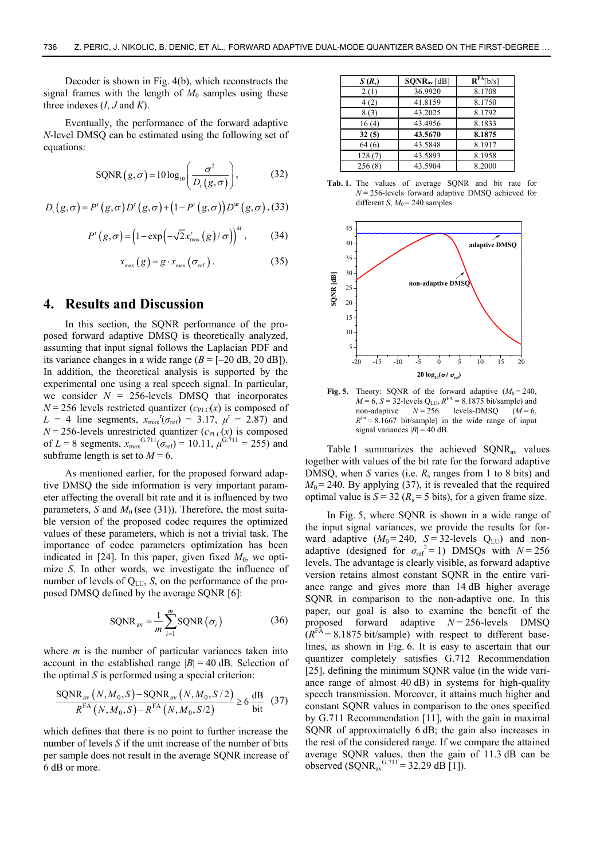Decoder is shown in Fig. 4(b), which reconstructs the signal frames with the length of  $M_0$  samples using these three indexes  $(I, J \text{ and } K)$ .

Eventually, the performance of the forward adaptive *N*-level DMSQ can be estimated using the following set of equations:

$$
SQNR(g,\sigma) = 10 \log_{10} \left( \frac{\sigma^2}{D_t(g,\sigma)} \right), \tag{32}
$$

$$
D_{\mathrm{t}}(g,\sigma)=P^{\mathrm{r}}(g,\sigma)D^{\mathrm{r}}(g,\sigma)+\big(1-P^{\mathrm{r}}(g,\sigma)\big)D^{\mathrm{ur}}(g,\sigma),(33)
$$

$$
P^{r}(g,\sigma) = \left(1 - \exp\left(-\sqrt{2}x_{\max}^{r}(g)/\sigma\right)\right)^{M},\qquad(34)
$$

$$
x_{\max}(g) = g \cdot x_{\max}(\sigma_{\text{ref}}). \tag{35}
$$

## **4. Results and Discussion**

In this section, the SQNR performance of the proposed forward adaptive DMSQ is theoretically analyzed, assuming that input signal follows the Laplacian PDF and its variance changes in a wide range  $(B = [-20 \text{ dB}, 20 \text{ dB}]).$ In addition, the theoretical analysis is supported by the experimental one using a real speech signal. In particular, we consider  $N = 256$ -levels DMSQ that incorporates  $N = 256$  levels restricted quantizer ( $c_{PLC}(x)$ ) is composed of *L* = 4 line segments,  $x_{\text{max}}^{r}(\sigma_{\text{ref}}) = 3.17$ ,  $\mu^r = 2.87$ ) and  $N = 256$ -levels unrestricted quantizer ( $c_{PLC}(x)$ ) is composed of *L* = 8 segments,  $x_{\text{max}}^{G.711}(\sigma_{\text{ref}}) = 10.11$ ,  $\mu^{G.711} = 255$ ) and subframe length is set to  $M = 6$ .

As mentioned earlier, for the proposed forward adaptive DMSQ the side information is very important parameter affecting the overall bit rate and it is influenced by two parameters, *S* and  $M_0$  (see (31)). Therefore, the most suitable version of the proposed codec requires the optimized values of these parameters, which is not a trivial task. The importance of codec parameters optimization has been indicated in  $[24]$ . In this paper, given fixed  $M_0$ , we optimize *S*. In other words, we investigate the influence of number of levels of  $Q_{\text{L},L}$ , *S*, on the performance of the proposed DMSQ defined by the average SQNR [6]:

$$
SQNR_{\text{av}} = \frac{1}{m} \sum_{i=1}^{m} SQNR(\sigma_i)
$$
 (36)

where *m* is the number of particular variances taken into account in the established range  $|B| = 40$  dB. Selection of the optimal *S* is performed using a special criterion:

$$
\frac{\text{SQNR}_{\text{av}}(N, M_0, S) - \text{SQNR}_{\text{av}}(N, M_0, S/2)}{R^{\text{FA}}(N, M_0, S) - R^{\text{FA}}(N, M_0, S/2)} \ge 6 \frac{\text{dB}}{\text{bit}} \tag{37}
$$

which defines that there is no point to further increase the number of levels *S* if the unit increase of the number of bits per sample does not result in the average SQNR increase of 6 dB or more.

| $S(R_s)$ | $SONR_{av}$ [dB] | $R^{FA}$ [b/s] |
|----------|------------------|----------------|
| 2(1)     | 36.9920          | 8.1708         |
| 4(2)     | 41.8159          | 8.1750         |
| 8(3)     | 43.2025          | 8.1792         |
| 16(4)    | 43.4956          | 8.1833         |
| 32(5)    | 43.5670          | 8.1875         |
| 64(6)    | 43.5848          | 8.1917         |
| 128(7)   | 43.5893          | 8.1958         |
| 256(8)   | 43.5904          | 8.2000         |

**Tab. 1.** The values of average SQNR and bit rate for *N* = 256-levels forward adaptive DMSQ achieved for different *S*,  $M_0$  = 240 samples.



**Fig. 5.** Theory: SQNR of the forward adaptive  $(M_0 = 240)$ ,  $M = 6$ ,  $S = 32$ -levels  $Q_{\text{LL}}$ ,  $R^{\text{FA}} = 8.1875$  bit/sample) and non-adaptive  $N = 256$  levels-DMSO  $(M = 6)$ ,  $R$ <sup>fix</sup> = 8.1667 bit/sample) in the wide range of input signal variances  $|B| = 40$  dB.

Table 1 summarizes the achieved  $\text{SQNR}_{\text{av}}$  values together with values of the bit rate for the forward adaptive DMSQ, when *S* varies (i.e. *R<sub>s</sub>* ranges from 1 to 8 bits) and  $M_0$  = 240. By applying (37), it is revealed that the required optimal value is  $S = 32$  ( $R_s = 5$  bits), for a given frame size.

In Fig. 5, where SQNR is shown in a wide range of the input signal variances, we provide the results for forward adaptive  $(M_0 = 240, S = 32$ -levels  $Q_{LU}$ ) and nonadaptive (designed for  $\sigma_{ref}^2 = 1$ ) DMSQs with  $N = 256$ levels. The advantage is clearly visible, as forward adaptive version retains almost constant SQNR in the entire variance range and gives more than 14 dB higher average SQNR in comparison to the non-adaptive one. In this paper, our goal is also to examine the benefit of the proposed forward adaptive  $N = 256$ -levels DMSQ  $(R<sup>FA</sup> = 8.1875 \text{ bit/sample})$  with respect to different baselines, as shown in Fig. 6. It is easy to ascertain that our quantizer completely satisfies G.712 Recommendation [25], defining the minimum SONR value (in the wide variance range of almost 40 dB) in systems for high-quality speech transmission. Moreover, it attains much higher and constant SQNR values in comparison to the ones specified by G.711 Recommendation [11], with the gain in maximal SQNR of approximatelly 6 dB; the gain also increases in the rest of the considered range. If we compare the attained average SQNR values, then the gain of 11.3 dB can be observed (SQNR<sub>av</sub><sup>G.711</sup> = 32.29 dB [1]).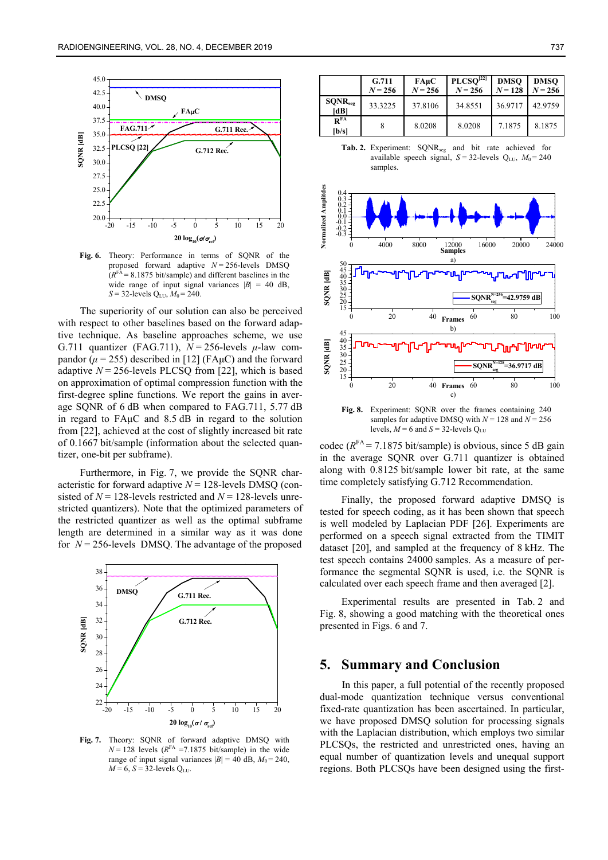

Fig. 6. Theory: Performance in terms of SONR of the proposed forward adaptive  $N = 256$ -levels DMSQ  $(R<sup>FA</sup> = 8.1875 \text{ bit/sample})$  and different baselines in the wide range of input signal variances  $|B| = 40$  dB,  $S = 32$ -levels Q<sub>LU</sub>,  $M_0 = 240$ .

The superiority of our solution can also be perceived with respect to other baselines based on the forward adaptive technique. As baseline approaches scheme, we use G.711 quantizer (FAG.711),  $N = 256$ -levels  $\mu$ -law compandor  $(\mu = 255)$  described in [12] (FA $\mu$ C) and the forward adaptive  $N = 256$ -levels PLCSQ from [22], which is based on approximation of optimal compression function with the first-degree spline functions. We report the gains in average SQNR of 6 dB when compared to FAG.711, 5.77 dB in regard to FAμC and 8.5 dB in regard to the solution from [22], achieved at the cost of slightly increased bit rate of 0.1667 bit/sample (information about the selected quantizer, one-bit per subframe).

Furthermore, in Fig. 7, we provide the SQNR characteristic for forward adaptive  $N = 128$ -levels DMSQ (consisted of  $N = 128$ -levels restricted and  $N = 128$ -levels unrestricted quantizers). Note that the optimized parameters of the restricted quantizer as well as the optimal subframe length are determined in a similar way as it was done for *N* = 256-levels DMSQ. The advantage of the proposed



**Fig. 7.** Theory: SQNR of forward adaptive DMSQ with  $N = 128$  levels  $(R<sup>FA</sup> = 7.1875$  bit/sample) in the wide range of input signal variances  $|B| = 40$  dB,  $M_0 = 240$ ,  $M = 6$ ,  $S = 32$ -levels Q<sub>LU</sub>.

|                                    | G.711<br>$N = 256$ | $FA\mu C$<br>$N = 256$ | PLCSO <sup>[22]</sup><br>$N = 256$ | <b>DMSO</b><br>$N = 128$ | <b>DMSO</b><br>$N = 256$ |
|------------------------------------|--------------------|------------------------|------------------------------------|--------------------------|--------------------------|
| SQNR <sub>seg</sub><br>[dB]        | 33.3225            | 37.8106                | 34.8551                            | 36.9717                  | 42.9759                  |
| $\mathbf{R}^{\mathrm{FA}}$<br> b/s |                    | 8.0208                 | 8.0208                             | 7.1875                   | 8.1875                   |





**Fig. 8.** Experiment: SQNR over the frames containing 240 samples for adaptive DMSQ with  $N = 128$  and  $N = 256$ levels,  $M = 6$  and  $S = 32$ -levels Q<sub>LU</sub>

codec ( $R<sup>FA</sup> = 7.1875$  bit/sample) is obvious, since 5 dB gain in the average SQNR over G.711 quantizer is obtained along with 0.8125 bit/sample lower bit rate, at the same time completely satisfying G.712 Recommendation.

Finally, the proposed forward adaptive DMSQ is tested for speech coding, as it has been shown that speech is well modeled by Laplacian PDF [26]. Experiments are performed on a speech signal extracted from the TIMIT dataset [20], and sampled at the frequency of 8 kHz. The test speech contains 24000 samples. As a measure of performance the segmental SQNR is used, i.e. the SQNR is calculated over each speech frame and then averaged [2].

Experimental results are presented in Tab. 2 and Fig. 8, showing a good matching with the theoretical ones presented in Figs. 6 and 7.

# **5. Summary and Conclusion**

In this paper, a full potential of the recently proposed dual-mode quantization technique versus conventional fixed-rate quantization has been ascertained. In particular, we have proposed DMSQ solution for processing signals with the Laplacian distribution, which employs two similar PLCSQs, the restricted and unrestricted ones, having an equal number of quantization levels and unequal support regions. Both PLCSQs have been designed using the first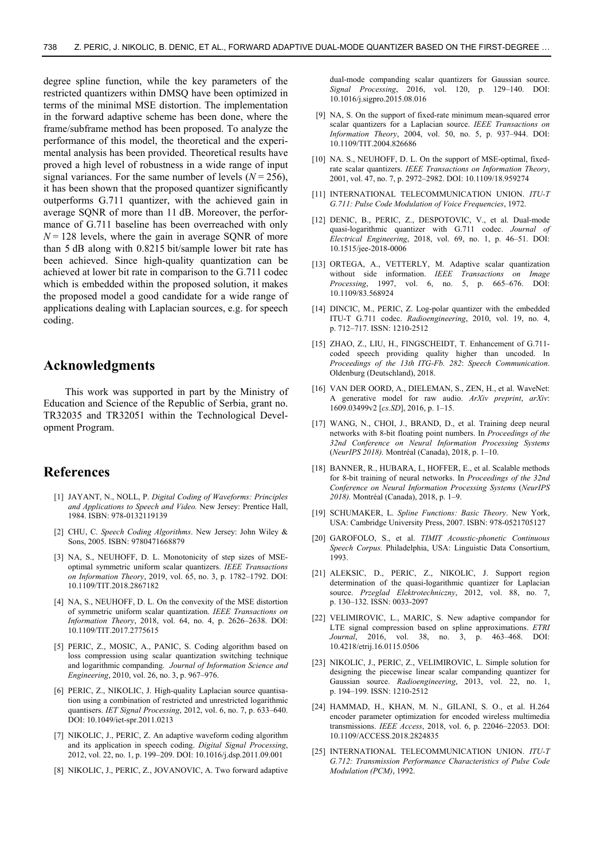degree spline function, while the key parameters of the restricted quantizers within DMSQ have been optimized in terms of the minimal MSE distortion. The implementation in the forward adaptive scheme has been done, where the frame/subframe method has been proposed. To analyze the performance of this model, the theoretical and the experimental analysis has been provided. Theoretical results have proved a high level of robustness in a wide range of input signal variances. For the same number of levels  $(N = 256)$ , it has been shown that the proposed quantizer significantly outperforms G.711 quantizer, with the achieved gain in average SQNR of more than 11 dB. Moreover, the performance of G.711 baseline has been overreached with only  $N = 128$  levels, where the gain in average SQNR of more than 5 dB along with 0.8215 bit/sample lower bit rate has been achieved. Since high-quality quantization can be achieved at lower bit rate in comparison to the G.711 codec which is embedded within the proposed solution, it makes the proposed model a good candidate for a wide range of applications dealing with Laplacian sources, e.g. for speech coding.

# **Acknowledgments**

This work was supported in part by the Ministry of Education and Science of the Republic of Serbia, grant no. TR32035 and TR32051 within the Technological Development Program.

# **References**

- [1] JAYANT, N., NOLL, P. *Digital Coding of Waveforms: Principles and Applications to Speech and Video.* New Jersey: Prentice Hall, 1984. ISBN: 978-0132119139
- [2] CHU, C. *Speech Coding Algorithms*. New Jersey: John Wiley & Sons, 2005. ISBN: 9780471668879
- [3] NA, S., NEUHOFF, D. L. Monotonicity of step sizes of MSEoptimal symmetric uniform scalar quantizers. *IEEE Transactions on Information Theory*, 2019, vol. 65, no. 3, p. 1782–1792. DOI: 10.1109/TIT.2018.2867182
- [4] NA, S., NEUHOFF, D. L. On the convexity of the MSE distortion of symmetric uniform scalar quantization. *IEEE Transactions on Information Theory*, 2018, vol. 64, no. 4, p. 2626–2638. DOI: 10.1109/TIT.2017.2775615
- [5] PERIC, Z., MOSIC, A., PANIC, S. Coding algorithm based on loss compression using scalar quantization switching technique and logarithmic companding. *Journal of Information Science and Engineering*, 2010, vol. 26, no. 3, p. 967–976.
- [6] PERIC, Z., NIKOLIC, J. High-quality Laplacian source quantisation using a combination of restricted and unrestricted logarithmic quantisers. *IET Signal Processing*, 2012, vol. 6, no. 7, p. 633–640. DOI: 10.1049/iet-spr.2011.0213
- [7] NIKOLIC, J., PERIC, Z. An adaptive waveform coding algorithm and its application in speech coding. *Digital Signal Processing*, 2012, vol. 22, no. 1, p. 199–209. DOI: 10.1016/j.dsp.2011.09.001
- [8] NIKOLIC, J., PERIC, Z., JOVANOVIC, A. Two forward adaptive

dual-mode companding scalar quantizers for Gaussian source. *Signal Processing*, 2016, vol. 120, p. 129–140. DOI: 10.1016/j.sigpro.2015.08.016

- [9] NA, S. On the support of fixed-rate minimum mean-squared error scalar quantizers for a Laplacian source. *IEEE Transactions on Information Theory*, 2004, vol. 50, no. 5, p. 937–944. DOI: 10.1109/TIT.2004.826686
- [10] NA. S., NEUHOFF, D. L. On the support of MSE-optimal, fixedrate scalar quantizers. *IEEE Transactions on Information Theory*, 2001, vol. 47, no. 7, p. 2972–2982. DOI: 10.1109/18.959274
- [11] INTERNATIONAL TELECOMMUNICATION UNION. *ITU-T G.711: Pulse Code Modulation of Voice Frequencies*, 1972.
- [12] DENIC, B., PERIC, Z., DESPOTOVIC, V., et al. Dual-mode quasi-logarithmic quantizer with G.711 codec. *Journal of Electrical Engineering*, 2018, vol. 69, no. 1, p. 46–51. DOI: 10.1515/jee-2018-0006
- [13] ORTEGA, A., VETTERLY, M. Adaptive scalar quantization without side information. *IEEE Transactions on Image Processing*, 1997, vol. 6, no. 5, p. 665–676. DOI: 10.1109/83.568924
- [14] DINCIC, M., PERIC, Z. Log-polar quantizer with the embedded ITU-T G.711 codec. *Radioengineering*, 2010, vol. 19, no. 4, p. 712–717. ISSN: 1210-2512
- [15] ZHAO, Z., LIU, H., FINGSCHEIDT, T. Enhancement of G.711coded speech providing quality higher than uncoded. In *Proceedings of the 13th ITG-Fb. 282*: *Speech Communication*. Oldenburg (Deutschland), 2018.
- [16] VAN DER OORD, A., DIELEMAN, S., ZEN, H., et al. WaveNet: A generative model for raw audio. *ArXiv preprint*, *arXiv*: 1609.03499v2 [*cs.SD*], 2016, p. 1–15.
- [17] WANG, N., CHOI, J., BRAND, D., et al. Training deep neural networks with 8-bit floating point numbers. In *Proceedings of the 32nd Conference on Neural Information Processing Systems*  (*NeurIPS 2018).* Montréal (Canada), 2018, p. 1–10.
- [18] BANNER, R., HUBARA, I., HOFFER, E., et al. Scalable methods for 8-bit training of neural networks. In *Proceedings of the 32nd Conference on Neural Information Processing Systems* (*NeurIPS 2018).* Montréal (Canada), 2018, p. 1–9.
- [19] SCHUMAKER, L. *Spline Functions: Basic Theory*. New York, USA: Cambridge University Press, 2007. ISBN: 978-0521705127
- [20] GAROFOLO, S., et al. *TIMIT Acoustic-phonetic Continuous Speech Corpus.* Philadelphia, USA: Linguistic Data Consortium, 1993.
- [21] ALEKSIC, D., PERIC, Z., NIKOLIC, J. Support region determination of the quasi-logarithmic quantizer for Laplacian source. *Przeglad Elektrotechniczny*, 2012, vol. 88, no. 7, p. 130–132. ISSN: 0033-2097
- [22] VELIMIROVIC, L., MARIC, S. New adaptive compandor for LTE signal compression based on spline approximations. *ETRI Journal*, 2016, vol. 38, no. 3, p. 463–468. DOI: 10.4218/etrij.16.0115.0506
- [23] NIKOLIC, J., PERIC, Z., VELIMIROVIC, L. Simple solution for designing the piecewise linear scalar companding quantizer for Gaussian source. *Radioengineering*, 2013, vol. 22, no. 1, p. 194–199. ISSN: 1210-2512
- [24] HAMMAD, H., KHAN, M. N., GILANI, S. O., et al. H.264 encoder parameter optimization for encoded wireless multimedia transmissions. *IEEE Access*, 2018, vol. 6, p. 22046–22053. DOI: 10.1109/ACCESS.2018.2824835
- [25] INTERNATIONAL TELECOMMUNICATION UNION. *ITU-T G.712: Transmission Performance Characteristics of Pulse Code Modulation (PCM)*, 1992.